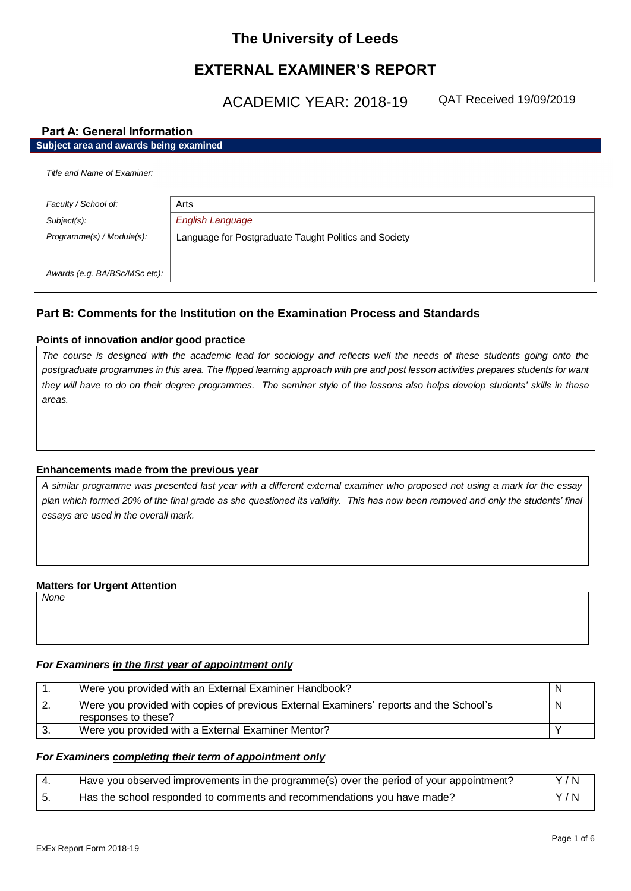# **The University of Leeds**

# **EXTERNAL EXAMINER'S REPORT**

ACADEMIC YEAR: 2018-19

QAT Received 19/09/2019

## **Part A: General Information**

## **Subject area and awards being examined**

| Title and Name of Examiner:   |                                                       |
|-------------------------------|-------------------------------------------------------|
|                               |                                                       |
| Faculty / School of:          | Arts                                                  |
| Subject(s):                   | <b>English Language</b>                               |
| Programme(s) / Module(s):     | Language for Postgraduate Taught Politics and Society |
|                               |                                                       |
| Awards (e.g. BA/BSc/MSc etc): |                                                       |

## **Part B: Comments for the Institution on the Examination Process and Standards**

## **Points of innovation and/or good practice**

*The course is designed with the academic lead for sociology and reflects well the needs of these students going onto the postgraduate programmes in this area. The flipped learning approach with pre and post lesson activities prepares students for want they will have to do on their degree programmes. The seminar style of the lessons also helps develop students' skills in these areas.* 

## **Enhancements made from the previous year**

*A similar programme was presented last year with a different external examiner who proposed not using a mark for the essay plan which formed 20% of the final grade as she questioned its validity. This has now been removed and only the students' final essays are used in the overall mark.*

## **Matters for Urgent Attention**

*None*

## *For Examiners in the first year of appointment only*

|          | Were you provided with an External Examiner Handbook?                                                         | N |
|----------|---------------------------------------------------------------------------------------------------------------|---|
| <u>.</u> | Were you provided with copies of previous External Examiners' reports and the School's<br>responses to these? | N |
|          | Were you provided with a External Examiner Mentor?                                                            |   |

## *For Examiners completing their term of appointment only*

| Have you observed improvements in the programme(s) over the period of your appointment? | Y/N |
|-----------------------------------------------------------------------------------------|-----|
| Has the school responded to comments and recommendations you have made?                 | Y/N |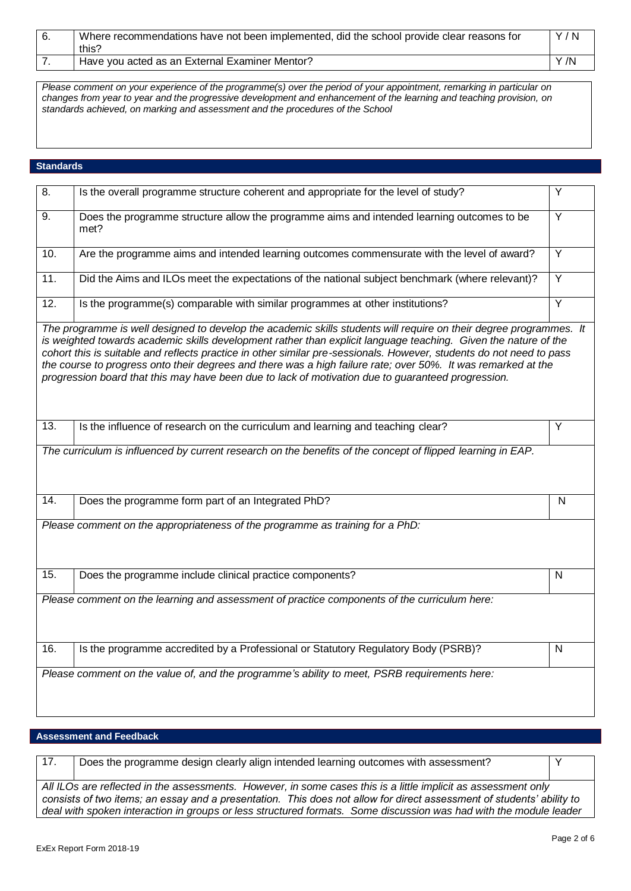| Where recommendations have not been implemented, did the school provide clear reasons for<br>this? | Y/N |
|----------------------------------------------------------------------------------------------------|-----|
| Have you acted as an External Examiner Mentor?                                                     | Y/N |

*Please comment on your experience of the programme(s) over the period of your appointment, remarking in particular on changes from year to year and the progressive development and enhancement of the learning and teaching provision, on standards achieved, on marking and assessment and the procedures of the School*

## **Standards**

| $\overline{8}$ .  | Is the overall programme structure coherent and appropriate for the level of study?                                                                                                                                                                                                                                                                                                                                                                                                                                                                                                  |                |
|-------------------|--------------------------------------------------------------------------------------------------------------------------------------------------------------------------------------------------------------------------------------------------------------------------------------------------------------------------------------------------------------------------------------------------------------------------------------------------------------------------------------------------------------------------------------------------------------------------------------|----------------|
| 9.                | Does the programme structure allow the programme aims and intended learning outcomes to be<br>met?                                                                                                                                                                                                                                                                                                                                                                                                                                                                                   |                |
| 10.               | Are the programme aims and intended learning outcomes commensurate with the level of award?                                                                                                                                                                                                                                                                                                                                                                                                                                                                                          |                |
| 11.               | Did the Aims and ILOs meet the expectations of the national subject benchmark (where relevant)?                                                                                                                                                                                                                                                                                                                                                                                                                                                                                      |                |
| 12.               | Is the programme(s) comparable with similar programmes at other institutions?                                                                                                                                                                                                                                                                                                                                                                                                                                                                                                        | $\overline{Y}$ |
|                   | The programme is well designed to develop the academic skills students will require on their degree programmes. It<br>is weighted towards academic skills development rather than explicit language teaching. Given the nature of the<br>cohort this is suitable and reflects practice in other similar pre-sessionals. However, students do not need to pass<br>the course to progress onto their degrees and there was a high failure rate; over 50%. It was remarked at the<br>progression board that this may have been due to lack of motivation due to guaranteed progression. |                |
| 13.               | Is the influence of research on the curriculum and learning and teaching clear?                                                                                                                                                                                                                                                                                                                                                                                                                                                                                                      | Y              |
|                   | The curriculum is influenced by current research on the benefits of the concept of flipped learning in EAP.                                                                                                                                                                                                                                                                                                                                                                                                                                                                          |                |
| $\overline{14}$ . | Does the programme form part of an Integrated PhD?                                                                                                                                                                                                                                                                                                                                                                                                                                                                                                                                   | N              |
|                   | Please comment on the appropriateness of the programme as training for a PhD:                                                                                                                                                                                                                                                                                                                                                                                                                                                                                                        |                |
| 15.               | Does the programme include clinical practice components?                                                                                                                                                                                                                                                                                                                                                                                                                                                                                                                             | N              |
|                   | Please comment on the learning and assessment of practice components of the curriculum here:                                                                                                                                                                                                                                                                                                                                                                                                                                                                                         |                |
| 16.               | Is the programme accredited by a Professional or Statutory Regulatory Body (PSRB)?                                                                                                                                                                                                                                                                                                                                                                                                                                                                                                   | ${\sf N}$      |
|                   | Please comment on the value of, and the programme's ability to meet, PSRB requirements here:                                                                                                                                                                                                                                                                                                                                                                                                                                                                                         |                |

## **Assessment and Feedback**

17. Does the programme design clearly align intended learning outcomes with assessment? *All ILOs are reflected in the assessments. However, in some cases this is a little implicit as assessment only consists of two items; an essay and a presentation. This does not allow for direct assessment of students' ability to deal with spoken interaction in groups or less structured formats. Some discussion was had with the module leader*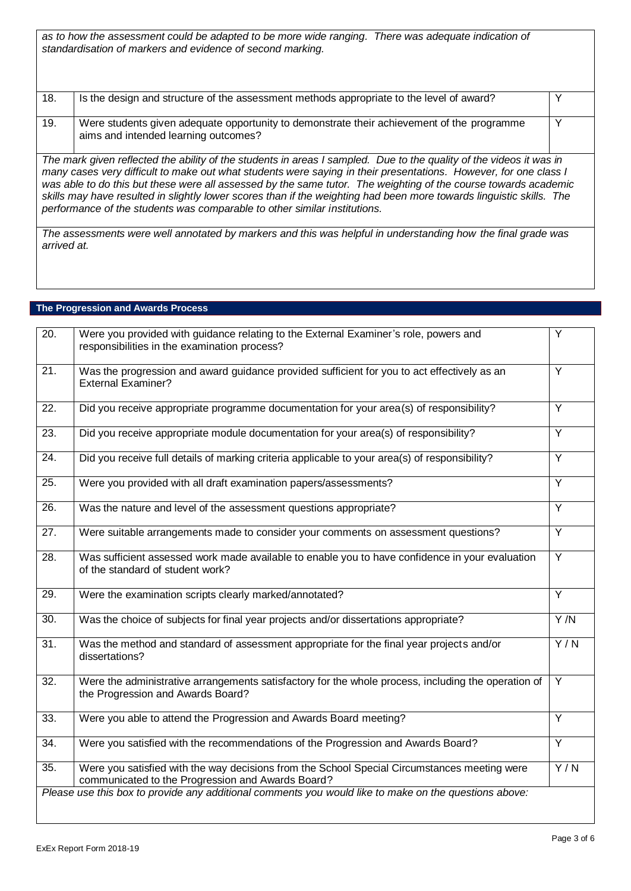*as to how the assessment could be adapted to be more wide ranging. There was adequate indication of standardisation of markers and evidence of second marking.*

| 18.         | Is the design and structure of the assessment methods appropriate to the level of award?                                                                                                                                                                                                                                                                                                                                                                                                                                                                        | ◡ |
|-------------|-----------------------------------------------------------------------------------------------------------------------------------------------------------------------------------------------------------------------------------------------------------------------------------------------------------------------------------------------------------------------------------------------------------------------------------------------------------------------------------------------------------------------------------------------------------------|---|
| 19.         | Were students given adequate opportunity to demonstrate their achievement of the programme<br>aims and intended learning outcomes?                                                                                                                                                                                                                                                                                                                                                                                                                              | ν |
|             | The mark given reflected the ability of the students in areas I sampled. Due to the quality of the videos it was in<br>many cases very difficult to make out what students were saying in their presentations. However, for one class I<br>was able to do this but these were all assessed by the same tutor. The weighting of the course towards academic<br>skills may have resulted in slightly lower scores than if the weighting had been more towards linguistic skills. The<br>performance of the students was comparable to other similar institutions. |   |
| arrived at. | The assessments were well annotated by markers and this was helpful in understanding how the final grade was                                                                                                                                                                                                                                                                                                                                                                                                                                                    |   |

# **The Progression and Awards Process**

| $\overline{20}$ . | Were you provided with guidance relating to the External Examiner's role, powers and<br>responsibilities in the examination process?              | Y              |
|-------------------|---------------------------------------------------------------------------------------------------------------------------------------------------|----------------|
| $\overline{21}$   | Was the progression and award guidance provided sufficient for you to act effectively as an<br><b>External Examiner?</b>                          | $\overline{Y}$ |
| 22.               | Did you receive appropriate programme documentation for your area(s) of responsibility?                                                           | $\overline{Y}$ |
| 23.               | Did you receive appropriate module documentation for your area(s) of responsibility?                                                              | Y              |
| $\overline{24}$ . | Did you receive full details of marking criteria applicable to your area(s) of responsibility?                                                    | $\overline{Y}$ |
| $\overline{25}$ . | Were you provided with all draft examination papers/assessments?                                                                                  | $\overline{Y}$ |
| 26.               | Was the nature and level of the assessment questions appropriate?                                                                                 | Y              |
| 27.               | Were suitable arrangements made to consider your comments on assessment questions?                                                                | Y              |
| 28.               | Was sufficient assessed work made available to enable you to have confidence in your evaluation<br>of the standard of student work?               | Y              |
| 29.               | Were the examination scripts clearly marked/annotated?                                                                                            | $\overline{Y}$ |
| $\overline{30}$ . | Was the choice of subjects for final year projects and/or dissertations appropriate?                                                              | Y/N            |
| 31.               | Was the method and standard of assessment appropriate for the final year projects and/or<br>dissertations?                                        | Y/N            |
| $\overline{32}$ . | Were the administrative arrangements satisfactory for the whole process, including the operation of<br>the Progression and Awards Board?          | $\overline{Y}$ |
| 33.               | Were you able to attend the Progression and Awards Board meeting?                                                                                 | Y              |
| 34.               | Were you satisfied with the recommendations of the Progression and Awards Board?                                                                  | $\overline{Y}$ |
| 35.               | Were you satisfied with the way decisions from the School Special Circumstances meeting were<br>communicated to the Progression and Awards Board? | Y/N            |
|                   | Please use this box to provide any additional comments you would like to make on the questions above:                                             |                |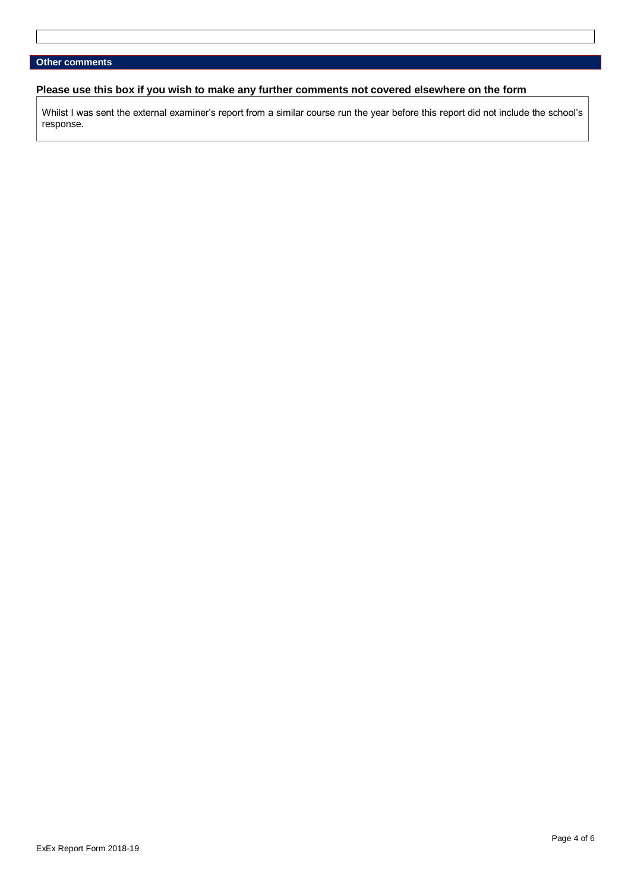## **Please use this box if you wish to make any further comments not covered elsewhere on the form**

Whilst I was sent the external examiner's report from a similar course run the year before this report did not include the school's response.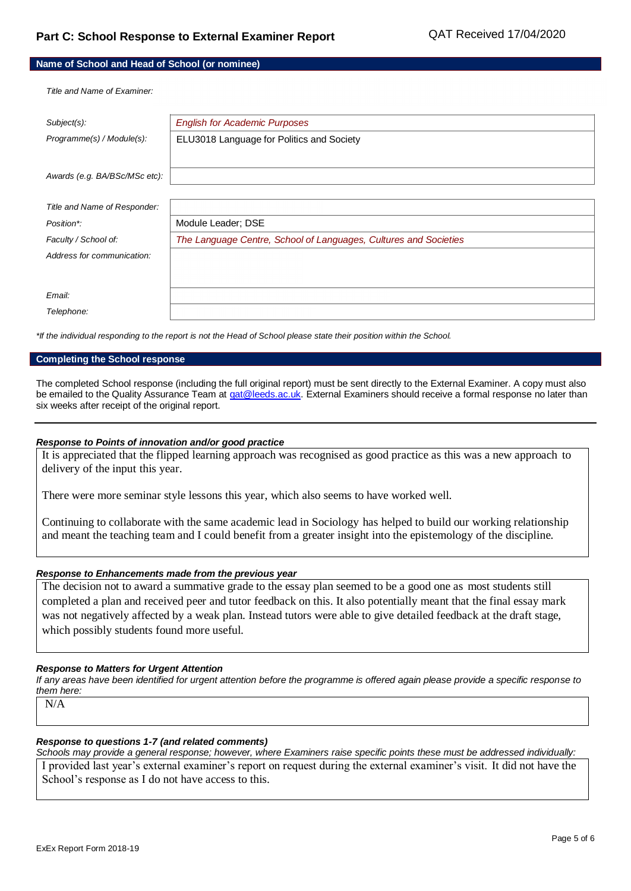| Name of School and Head of School (or nominee) |  |
|------------------------------------------------|--|
|------------------------------------------------|--|

*Title and Name of Examiner:*

| $Subject(s)$ :                | <b>English for Academic Purposes</b>                             |
|-------------------------------|------------------------------------------------------------------|
| Programme(s) / Module(s):     | ELU3018 Language for Politics and Society                        |
|                               |                                                                  |
| Awards (e.g. BA/BSc/MSc etc): |                                                                  |
|                               |                                                                  |
| Title and Name of Responder:  |                                                                  |
| Position*:                    | Module Leader; DSE                                               |
| Faculty / School of:          | The Language Centre, School of Languages, Cultures and Societies |
| Address for communication:    |                                                                  |
|                               |                                                                  |
|                               |                                                                  |
| Email:                        |                                                                  |
| Telephone:                    |                                                                  |

*\*If the individual responding to the report is not the Head of School please state their position within the School.*

#### **Completing the School response**

The completed School response (including the full original report) must be sent directly to the External Examiner. A copy must also be emailed to the Quality Assurance Team a[t qat@leeds.ac.uk.](mailto:qat@leeds.ac.uk) External Examiners should receive a formal response no later than six weeks after receipt of the original report.

#### *Response to Points of innovation and/or good practice*

It is appreciated that the flipped learning approach was recognised as good practice as this was a new approach to delivery of the input this year.

There were more seminar style lessons this year, which also seems to have worked well.

Continuing to collaborate with the same academic lead in Sociology has helped to build our working relationship and meant the teaching team and I could benefit from a greater insight into the epistemology of the discipline.

### *Response to Enhancements made from the previous year*

The decision not to award a summative grade to the essay plan seemed to be a good one as most students still completed a plan and received peer and tutor feedback on this. It also potentially meant that the final essay mark was not negatively affected by a weak plan. Instead tutors were able to give detailed feedback at the draft stage, which possibly students found more useful.

#### *Response to Matters for Urgent Attention*

*If any areas have been identified for urgent attention before the programme is offered again please provide a specific response to them here:*

N/A

## *Response to questions 1-7 (and related comments)*

*Schools may provide a general response; however, where Examiners raise specific points these must be addressed individually:*

I provided last year's external examiner's report on request during the external examiner's visit. It did not have the School's response as I do not have access to this.